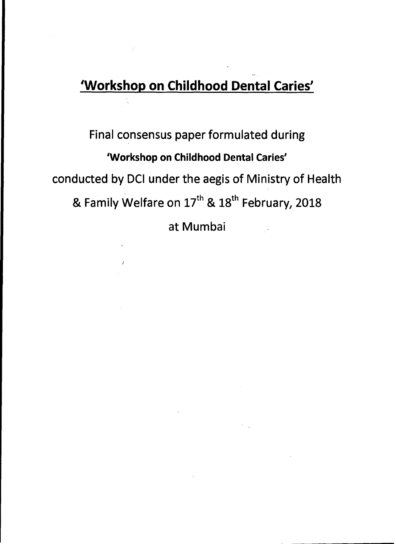#### **`Workshop on Childhood Dental Caries'**

# **Final consensus paper formulated during 'Workshop on Childhood Dental Caries' conducted by DCI under the aegis of Ministry of Health**  & Family Welfare on 17<sup>th</sup> & 18<sup>th</sup> February, 2018

**at Mumbai**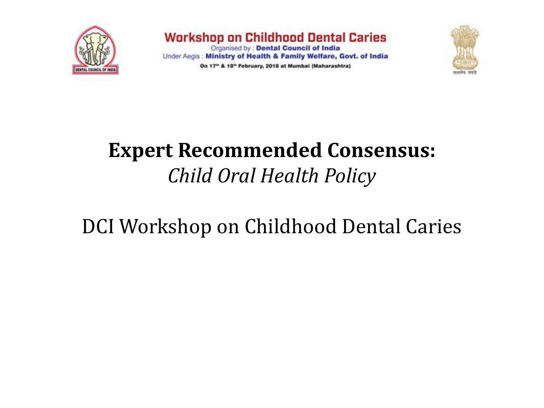

**Workshop on Childhood Dental Caries** Organised by : Dental Council of India Under Aegis: Ministry of Health & Family Welfare, Govt. of India On 17<sup>th</sup> & 18<sup>th</sup> February, 2018 at Mumbai (Maharashtra)



### **Expert Recommended Consensus:**  *Child Oral Health Policy*

### DCI Workshop on Childhood Dental Caries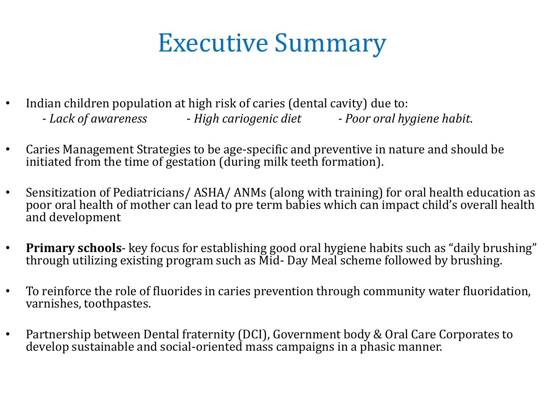# Executive Summary

- Indian children population at high risk of caries (dental cavity) due to:
	- *Lack of awareness High cariogenic diet - Poor oral hygiene habit*.
- Caries Management Strategies to be age-specific and preventive in nature and should be initiated from the time of gestation (during milk teeth formation).
- Sensitization of Pediatricians/ ASHA/ ANMs (along with training) for oral health education as poor oral health of mother can lead to pre term babies which can impact child's overall health and development
- **Primary schools** key focus for establishing good oral hygiene habits such as "daily brushing" through utilizing existing program such as Mid- Day Meal scheme followed by brushing.
- To reinforce the role of fluorides in caries prevention through community water fluoridation, varnishes, toothpastes.
- Partnership between Dental fraternity (DCI), Government body & Oral Care Corporates to develop sustainable and social-oriented mass campaigns in a phasic manner.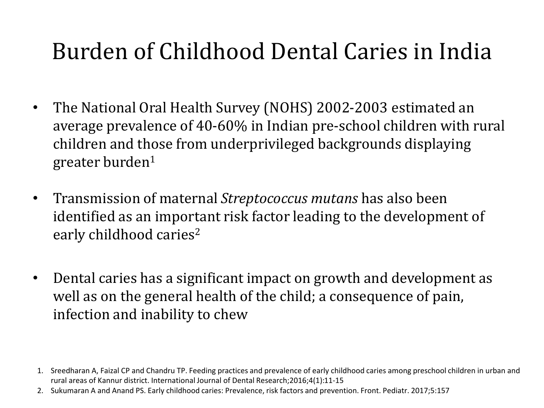# Burden of Childhood Dental Caries in India

- The National Oral Health Survey (NOHS) 2002-2003 estimated an average prevalence of 40-60% in Indian pre-school children with rural children and those from underprivileged backgrounds displaying greater burden<sup>1</sup>
- Transmission of maternal *Streptococcus mutans* has also been identified as an important risk factor leading to the development of early childhood caries<sup>2</sup>
- Dental caries has a significant impact on growth and development as well as on the general health of the child; a consequence of pain, infection and inability to chew

<sup>1.</sup> Sreedharan A, Faizal CP and Chandru TP. Feeding practices and prevalence of early childhood caries among preschool children in urban and rural areas of Kannur district. International Journal of Dental Research;2016;4(1):11-15

<sup>2.</sup> Sukumaran A and Anand PS. Early childhood caries: Prevalence, risk factors and prevention. Front. Pediatr. 2017;5:157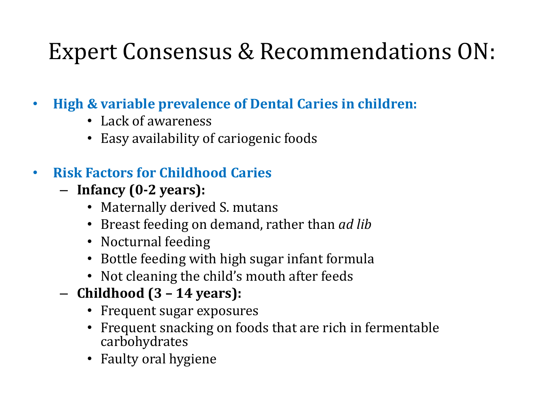- **High & variable prevalence of Dental Caries in children:**
	- Lack of awareness
	- Easy availability of cariogenic foods

#### • **Risk Factors for Childhood Caries**

- **Infancy (0-2 years):**
	- Maternally derived S. mutans
	- Breast feeding on demand, rather than *ad lib*
	- Nocturnal feeding
	- Bottle feeding with high sugar infant formula
	- Not cleaning the child's mouth after feeds
- **Childhood (3 – 14 years):** 
	- Frequent sugar exposures
	- Frequent snacking on foods that are rich in fermentable carbohydrates
	- Faulty oral hygiene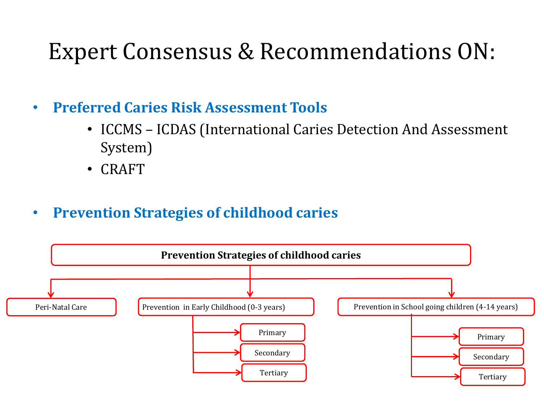- **Preferred Caries Risk Assessment Tools**
	- ICCMS ICDAS (International Caries Detection And Assessment System)
	- CRAFT
- **Prevention Strategies of childhood caries**

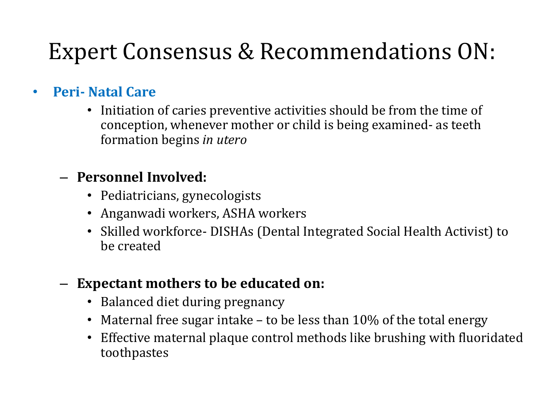#### • **Peri- Natal Care**

• Initiation of caries preventive activities should be from the time of conception, whenever mother or child is being examined- as teeth formation begins *in utero*

#### – **Personnel Involved:**

- Pediatricians, gynecologists
- Anganwadi workers, ASHA workers
- Skilled workforce- DISHAs (Dental Integrated Social Health Activist) to be created

#### – **Expectant mothers to be educated on:**

- Balanced diet during pregnancy
- Maternal free sugar intake to be less than 10% of the total energy
- Effective maternal plaque control methods like brushing with fluoridated toothpastes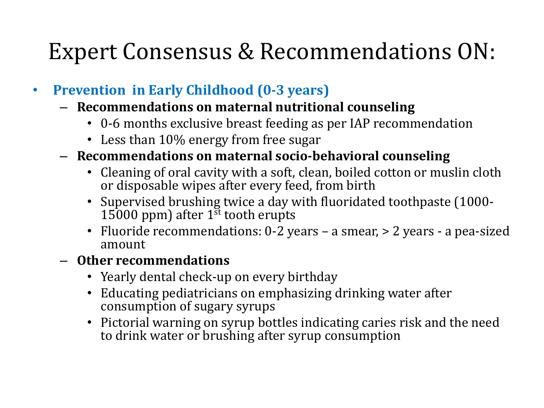- **Prevention in Early Childhood (0-3 years)**
	- **Recommendations on maternal nutritional counseling**
		- 0-6 months exclusive breast feeding as per IAP recommendation
		- Less than 10% energy from free sugar
	- **Recommendations on maternal socio-behavioral counseling**
		- Cleaning of oral cavity with a soft, clean, boiled cotton or muslin cloth or disposable wipes after every feed, from birth
		- Supervised brushing twice a day with fluoridated toothpaste (1000- 15000 ppm) after  $1<sup>st</sup>$  tooth erupts
		- Fluoride recommendations: 0-2 years a smear, > 2 years a pea-sized amount

#### – **Other recommendations**

- Yearly dental check-up on every birthday
- Educating pediatricians on emphasizing drinking water after consumption of sugary syrups
- Pictorial warning on syrup bottles indicating caries risk and the need to drink water or brushing after syrup consumption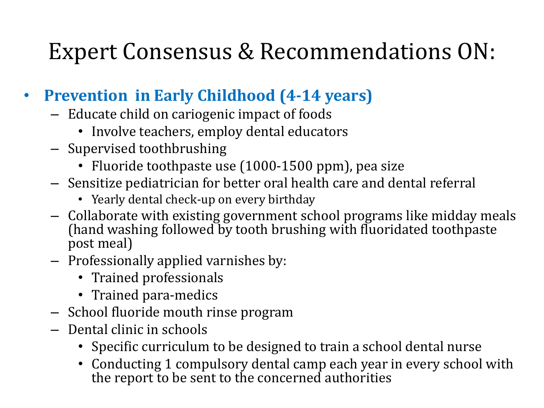#### • **Prevention in Early Childhood (4-14 years)**

- Educate child on cariogenic impact of foods
	- Involve teachers, employ dental educators
- Supervised toothbrushing
	- Fluoride toothpaste use (1000-1500 ppm), pea size
- Sensitize pediatrician for better oral health care and dental referral
	- Yearly dental check-up on every birthday
- Collaborate with existing government school programs like midday meals (hand washing followed by tooth brushing with fluoridated toothpaste post meal)
- Professionally applied varnishes by:
	- Trained professionals
	- Trained para-medics
- School fluoride mouth rinse program
- Dental clinic in schools
	- Specific curriculum to be designed to train a school dental nurse
	- Conducting 1 compulsory dental camp each year in every school with the report to be sent to the concerned authorities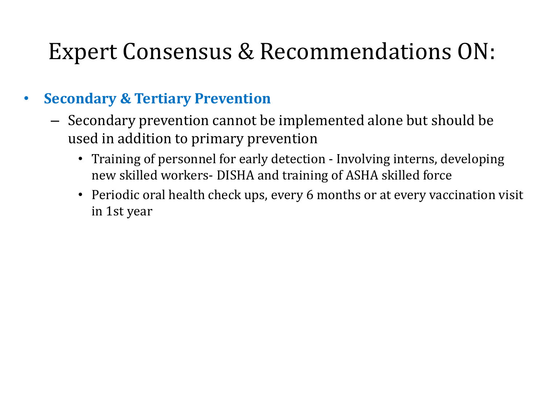#### • **Secondary & Tertiary Prevention**

- Secondary prevention cannot be implemented alone but should be used in addition to primary prevention
	- Training of personnel for early detection Involving interns, developing new skilled workers- DISHA and training of ASHA skilled force
	- Periodic oral health check ups, every 6 months or at every vaccination visit in 1st year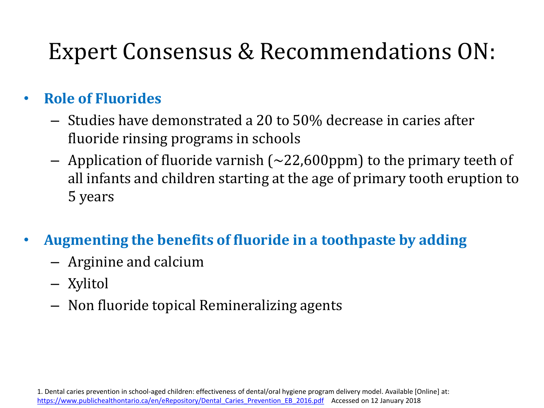#### • **Role of Fluorides**

- Studies have demonstrated a 20 to 50% decrease in caries after fluoride rinsing programs in schools
- Application of fluoride varnish  $(\sim 22,600$ ppm) to the primary teeth of all infants and children starting at the age of primary tooth eruption to 5 years
- **Augmenting the benefits of fluoride in a toothpaste by adding**
	- Arginine and calcium
	- Xylitol
	- Non fluoride topical Remineralizing agents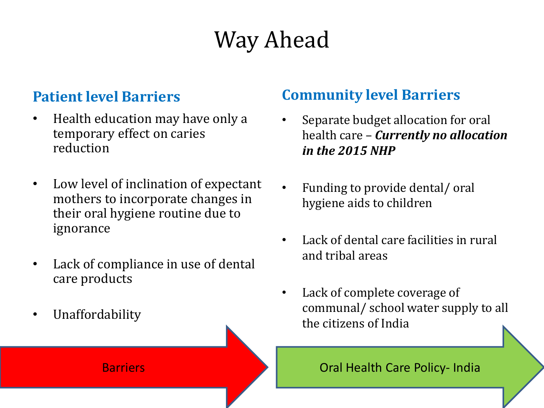# Way Ahead

#### **Patient level Barriers**

- Health education may have only a temporary effect on caries reduction
- Low level of inclination of expectant mothers to incorporate changes in their oral hygiene routine due to ignorance
- Lack of compliance in use of dental care products
- **Unaffordability**

#### **Community level Barriers**

- Separate budget allocation for oral health care – *Currently no allocation in the 2015 NHP*
- Funding to provide dental/ oral hygiene aids to children
- Lack of dental care facilities in rural and tribal areas
- Lack of complete coverage of communal/ school water supply to all the citizens of India

Barriers **Barriers Call Health Care Policy- India**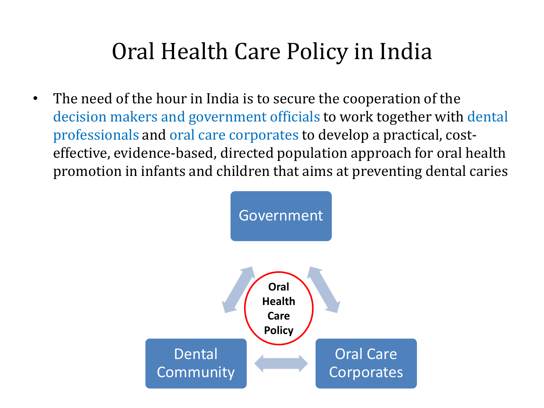• The need of the hour in India is to secure the cooperation of the decision makers and government officials to work together with dental professionals and oral care corporates to develop a practical, costeffective, evidence-based, directed population approach for oral health promotion in infants and children that aims at preventing dental caries

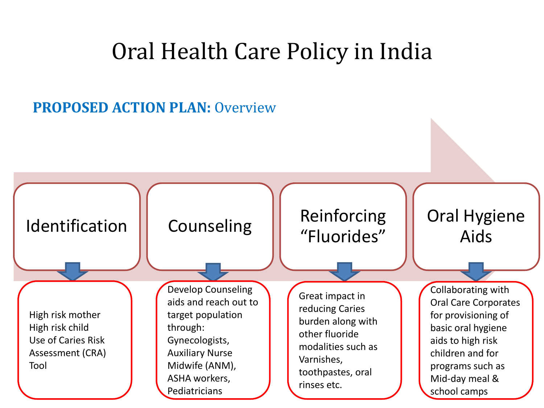#### **PROPOSED ACTION PLAN:** Overview

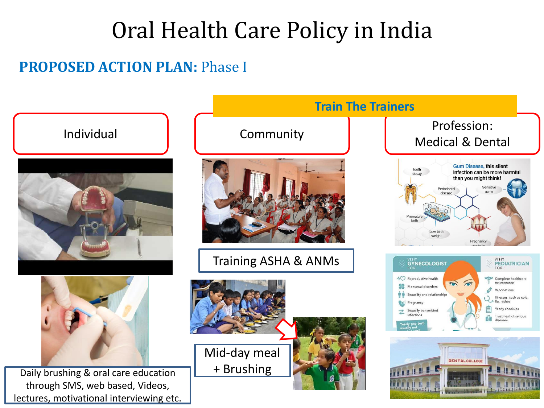#### **PROPOSED ACTION PLAN: Phase I**